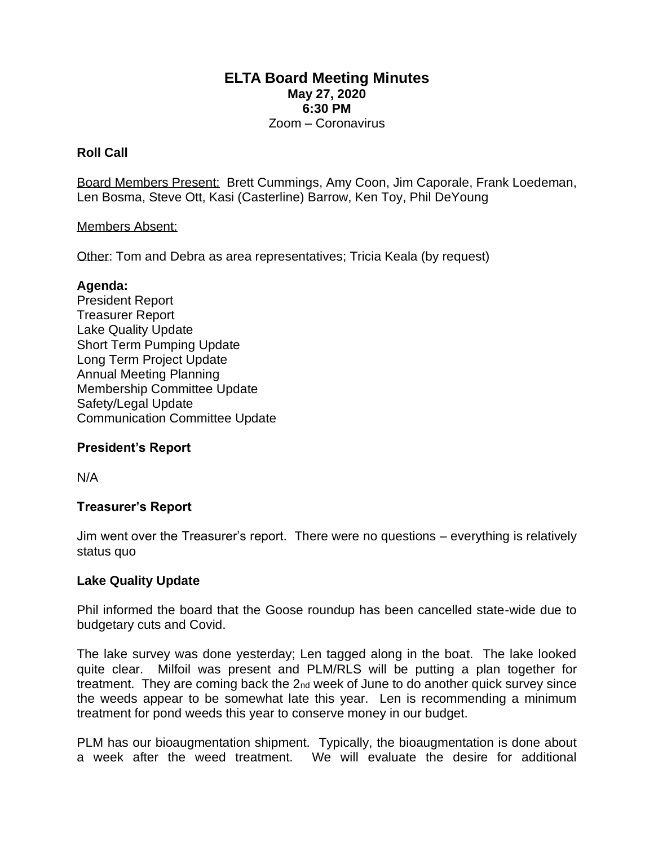## **ELTA Board Meeting Minutes May 27, 2020 6:30 PM**

### Zoom – Coronavirus

#### **Roll Call**

Board Members Present: Brett Cummings, Amy Coon, Jim Caporale, Frank Loedeman, Len Bosma, Steve Ott, Kasi (Casterline) Barrow, Ken Toy, Phil DeYoung

#### Members Absent:

Other: Tom and Debra as area representatives; Tricia Keala (by request)

#### **Agenda:**

President Report Treasurer Report Lake Quality Update Short Term Pumping Update Long Term Project Update Annual Meeting Planning Membership Committee Update Safety/Legal Update Communication Committee Update

#### **President's Report**

N/A

#### **Treasurer's Report**

Jim went over the Treasurer's report. There were no questions – everything is relatively status quo

#### **Lake Quality Update**

Phil informed the board that the Goose roundup has been cancelled state-wide due to budgetary cuts and Covid.

The lake survey was done yesterday; Len tagged along in the boat. The lake looked quite clear. Milfoil was present and PLM/RLS will be putting a plan together for treatment. They are coming back the 2nd week of June to do another quick survey since the weeds appear to be somewhat late this year. Len is recommending a minimum treatment for pond weeds this year to conserve money in our budget.

PLM has our bioaugmentation shipment. Typically, the bioaugmentation is done about a week after the weed treatment. We will evaluate the desire for additional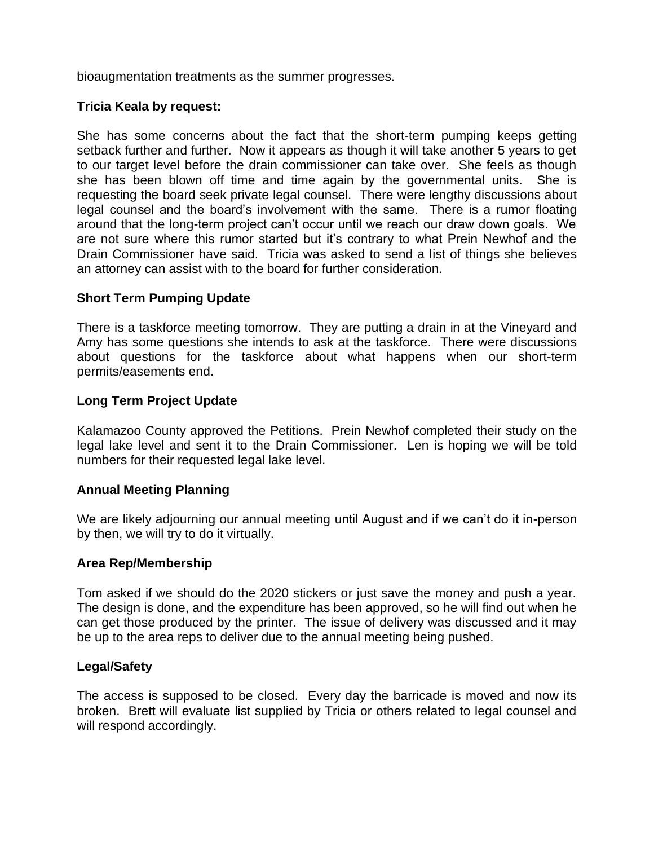bioaugmentation treatments as the summer progresses.

### **Tricia Keala by request:**

She has some concerns about the fact that the short-term pumping keeps getting setback further and further. Now it appears as though it will take another 5 years to get to our target level before the drain commissioner can take over. She feels as though she has been blown off time and time again by the governmental units. She is requesting the board seek private legal counsel. There were lengthy discussions about legal counsel and the board's involvement with the same. There is a rumor floating around that the long-term project can't occur until we reach our draw down goals. We are not sure where this rumor started but it's contrary to what Prein Newhof and the Drain Commissioner have said. Tricia was asked to send a list of things she believes an attorney can assist with to the board for further consideration.

### **Short Term Pumping Update**

There is a taskforce meeting tomorrow. They are putting a drain in at the Vineyard and Amy has some questions she intends to ask at the taskforce. There were discussions about questions for the taskforce about what happens when our short-term permits/easements end.

## **Long Term Project Update**

Kalamazoo County approved the Petitions. Prein Newhof completed their study on the legal lake level and sent it to the Drain Commissioner. Len is hoping we will be told numbers for their requested legal lake level.

#### **Annual Meeting Planning**

We are likely adjourning our annual meeting until August and if we can't do it in-person by then, we will try to do it virtually.

#### **Area Rep/Membership**

Tom asked if we should do the 2020 stickers or just save the money and push a year. The design is done, and the expenditure has been approved, so he will find out when he can get those produced by the printer. The issue of delivery was discussed and it may be up to the area reps to deliver due to the annual meeting being pushed.

#### **Legal/Safety**

The access is supposed to be closed. Every day the barricade is moved and now its broken. Brett will evaluate list supplied by Tricia or others related to legal counsel and will respond accordingly.